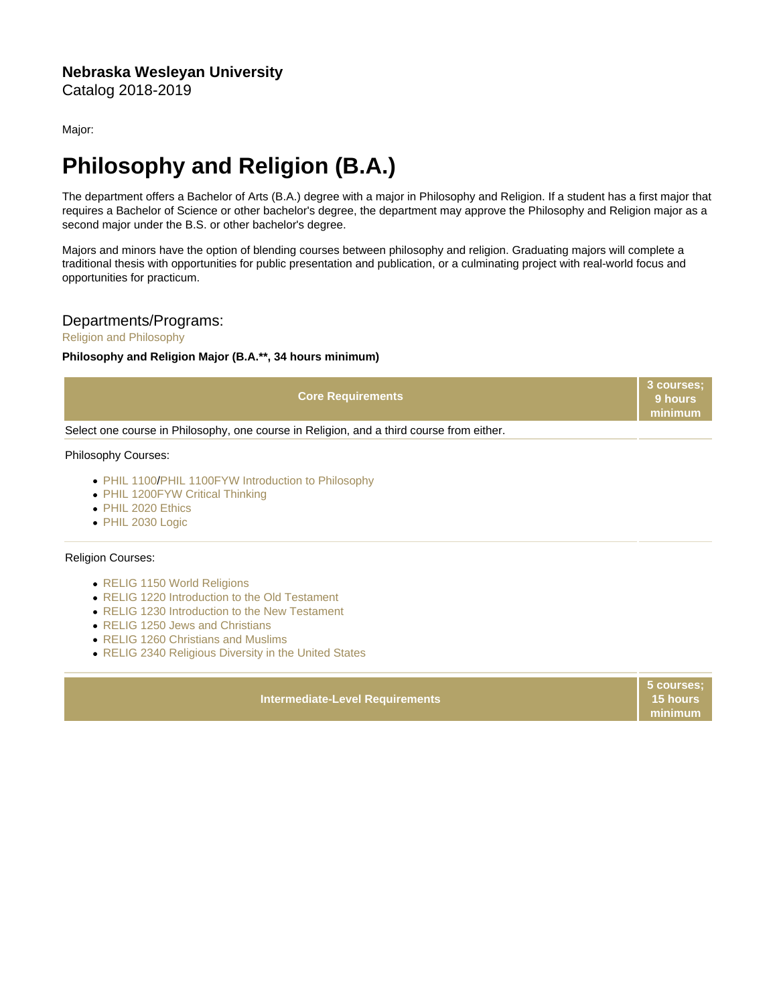Major:

# Philosophy and Religion (B.A.)

The department offers a Bachelor of Arts (B.A.) degree with a major in Philosophy and Religion. If a student has a first major that requires a Bachelor of Science or other bachelor's degree, the department may approve the Philosophy and Religion major as a second major under the B.S. or other bachelor's degree.

Majors and minors have the option of blending courses between philosophy and religion. Graduating majors will complete a traditional thesis with opportunities for public presentation and publication, or a culminating project with real-world focus and opportunities for practicum.

## Departments/Programs:

### [Religion and Philosophy](https://catalog.nebrwesleyan.edu/cc/2018-2019/department/330865)

Philosophy and Religion Major (B.A.\*\*, 34 hours minimum)

| <b>Core Requirements</b>                                                                 | 3 courses;<br>9 hours<br>minimum |
|------------------------------------------------------------------------------------------|----------------------------------|
| Select one course in Philosophy, one course in Religion, and a third course from either. |                                  |
| <b>Philosophy Courses:</b>                                                               |                                  |

- [PHIL 1100](https://catalog.nebrwesleyan.edu/cc/2021-2022/course/360096)[/PHIL 1100FYW Introduction to Philosophy](https://catalog.nebrwesleyan.edu/cc/2021-2022/course/361709)
- [PHIL 1200FYW Critical Thinking](https://catalog.nebrwesleyan.edu/cc/2021-2022/course/362781)
- [PHIL 2020 Ethics](https://catalog.nebrwesleyan.edu/cc/2021-2022/course/360097)
- [PHIL 2030 Logic](https://catalog.nebrwesleyan.edu/cc/2021-2022/course/360098)

#### Religion Courses:

- [RELIG 1150 World Religions](https://catalog.nebrwesleyan.edu/cc/2021-2022/course/360154)
- [RELIG 1220 Introduction to the Old Testament](https://catalog.nebrwesleyan.edu/cc/2021-2022/course/362969)
- [RELIG 1230 Introduction to the New Testament](https://catalog.nebrwesleyan.edu/cc/2021-2022/course/362957)
- [RELIG 1250 Jews and Christians](https://catalog.nebrwesleyan.edu/cc/2021-2022/course/362427)
- [RELIG 1260 Christians and Muslims](https://catalog.nebrwesleyan.edu/cc/2021-2022/course/362428)
- [RELIG 2340 Religious Diversity in the United States](https://catalog.nebrwesleyan.edu/cc/2021-2022/course/360163)